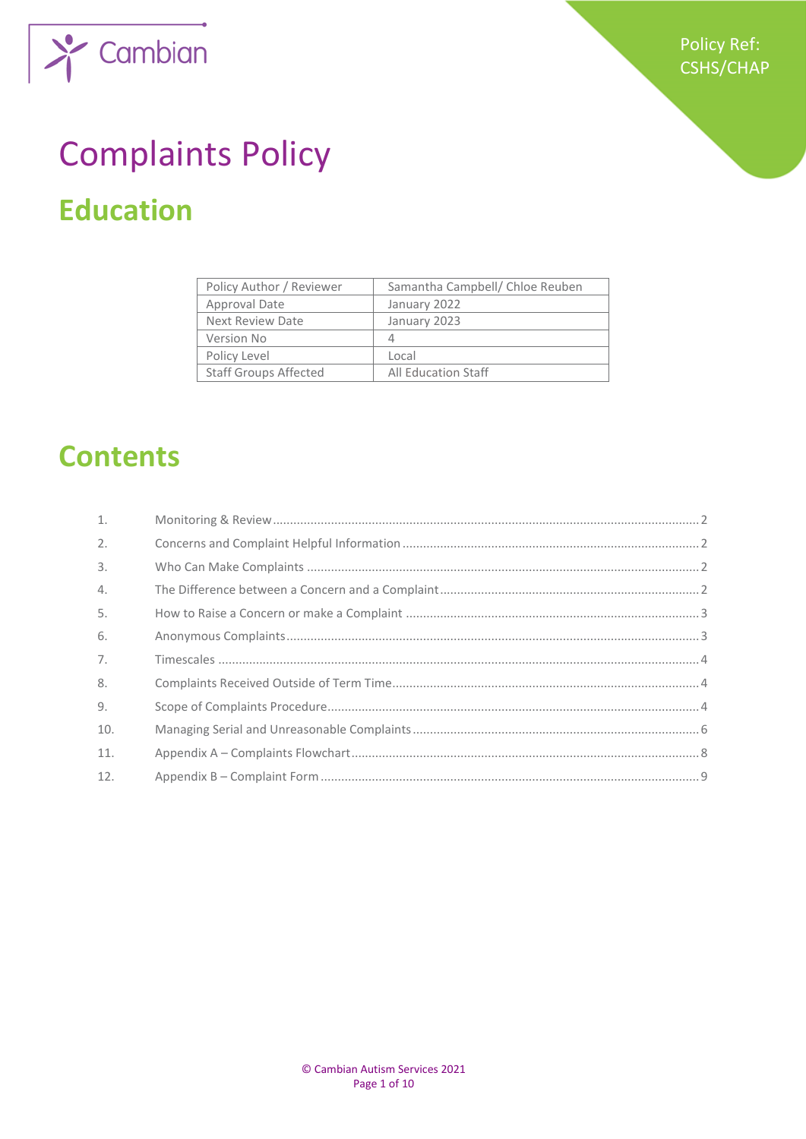



# Complaints Policy **Education**

| Policy Author / Reviewer     | Samantha Campbell/ Chloe Reuben |
|------------------------------|---------------------------------|
| Approval Date                | January 2022                    |
| <b>Next Review Date</b>      | January 2023                    |
| Version No                   | 4                               |
| Policy Level                 | Local                           |
| <b>Staff Groups Affected</b> | <b>All Education Staff</b>      |

# **Contents**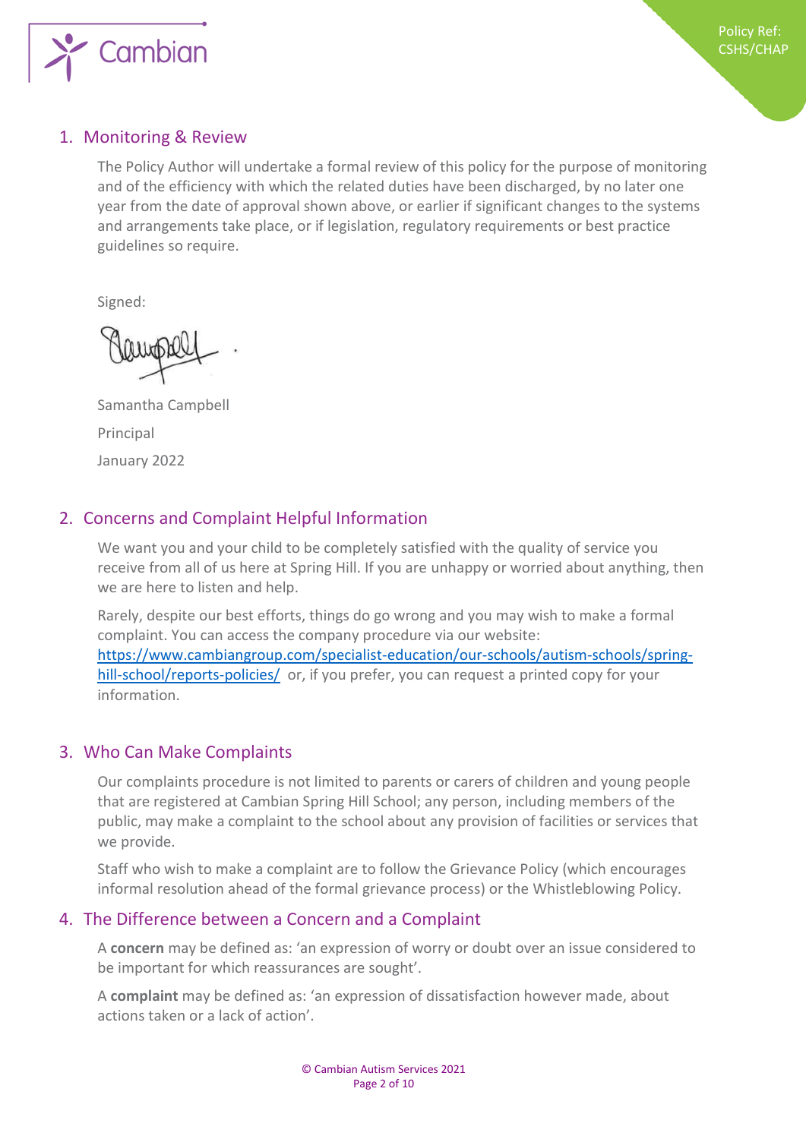

### <span id="page-1-0"></span>1. Monitoring & Review

The Policy Author will undertake a formal review of this policy for the purpose of monitoring and of the efficiency with which the related duties have been discharged, by no later one year from the date of approval shown above, or earlier if significant changes to the systems and arrangements take place, or if legislation, regulatory requirements or best practice guidelines so require.

Signed:

Samantha Campbell Principal January 2022

# <span id="page-1-1"></span>2. Concerns and Complaint Helpful Information

We want you and your child to be completely satisfied with the quality of service you receive from all of us here at Spring Hill. If you are unhappy or worried about anything, then we are here to listen and help.

Rarely, despite our best efforts, things do go wrong and you may wish to make a formal complaint. You can access the company procedure via our website: [https://www.cambiangroup.com/specialist-education/our-schools/autism-schools/spring](https://www.cambiangroup.com/specialist-education/our-schools/autism-schools/spring-hill-school/reports-policies/)[hill-school/reports-policies/](https://www.cambiangroup.com/specialist-education/our-schools/autism-schools/spring-hill-school/reports-policies/) or, if you prefer, you can request a printed copy for your information.

### <span id="page-1-2"></span>3. Who Can Make Complaints

Our complaints procedure is not limited to parents or carers of children and young people that are registered at Cambian Spring Hill School; any person, including members of the public, may make a complaint to the school about any provision of facilities or services that we provide.

Staff who wish to make a complaint are to follow the Grievance Policy (which encourages informal resolution ahead of the formal grievance process) or the Whistleblowing Policy.

### <span id="page-1-3"></span>4. The Difference between a Concern and a Complaint

A **concern** may be defined as: 'an expression of worry or doubt over an issue considered to be important for which reassurances are sought'.

A **complaint** may be defined as: 'an expression of dissatisfaction however made, about actions taken or a lack of action'.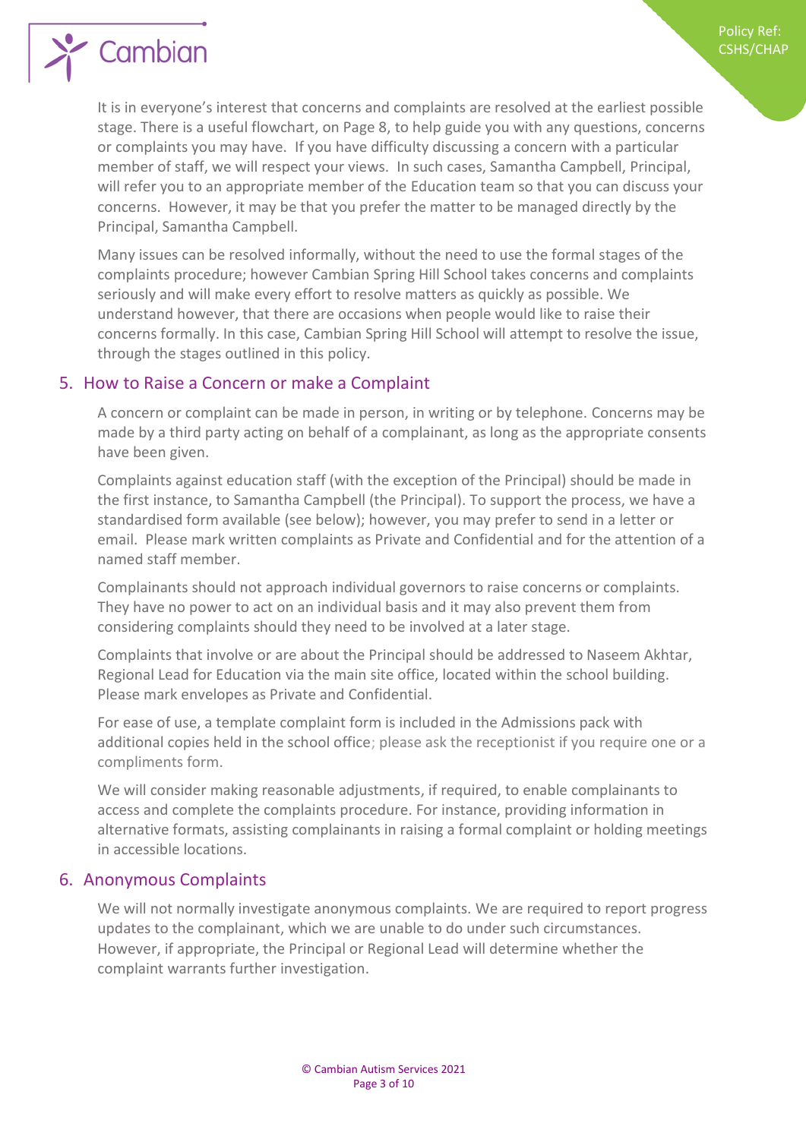

It is in everyone's interest that concerns and complaints are resolved at the earliest possible stage. There is a useful flowchart, on Page 8, to help guide you with any questions, concerns or complaints you may have. If you have difficulty discussing a concern with a particular member of staff, we will respect your views. In such cases, Samantha Campbell, Principal, will refer you to an appropriate member of the Education team so that you can discuss your concerns. However, it may be that you prefer the matter to be managed directly by the Principal, Samantha Campbell.

Policy Ref: CSHS/CHAP

Many issues can be resolved informally, without the need to use the formal stages of the complaints procedure; however Cambian Spring Hill School takes concerns and complaints seriously and will make every effort to resolve matters as quickly as possible. We understand however, that there are occasions when people would like to raise their concerns formally. In this case, Cambian Spring Hill School will attempt to resolve the issue, through the stages outlined in this policy.

#### <span id="page-2-0"></span>5. How to Raise a Concern or make a Complaint

A concern or complaint can be made in person, in writing or by telephone. Concerns may be made by a third party acting on behalf of a complainant, as long as the appropriate consents have been given.

Complaints against education staff (with the exception of the Principal) should be made in the first instance, to Samantha Campbell (the Principal). To support the process, we have a standardised form available (see below); however, you may prefer to send in a letter or email. Please mark written complaints as Private and Confidential and for the attention of a named staff member.

Complainants should not approach individual governors to raise concerns or complaints. They have no power to act on an individual basis and it may also prevent them from considering complaints should they need to be involved at a later stage.

Complaints that involve or are about the Principal should be addressed to Naseem Akhtar, Regional Lead for Education via the main site office, located within the school building. Please mark envelopes as Private and Confidential.

For ease of use, a template complaint form is included in the Admissions pack with additional copies held in the school office; please ask the receptionist if you require one or a compliments form.

We will consider making reasonable adjustments, if required, to enable complainants to access and complete the complaints procedure. For instance, providing information in alternative formats, assisting complainants in raising a formal complaint or holding meetings in accessible locations.

#### <span id="page-2-1"></span>6. Anonymous Complaints

We will not normally investigate anonymous complaints. We are required to report progress updates to the complainant, which we are unable to do under such circumstances. However, if appropriate, the Principal or Regional Lead will determine whether the complaint warrants further investigation.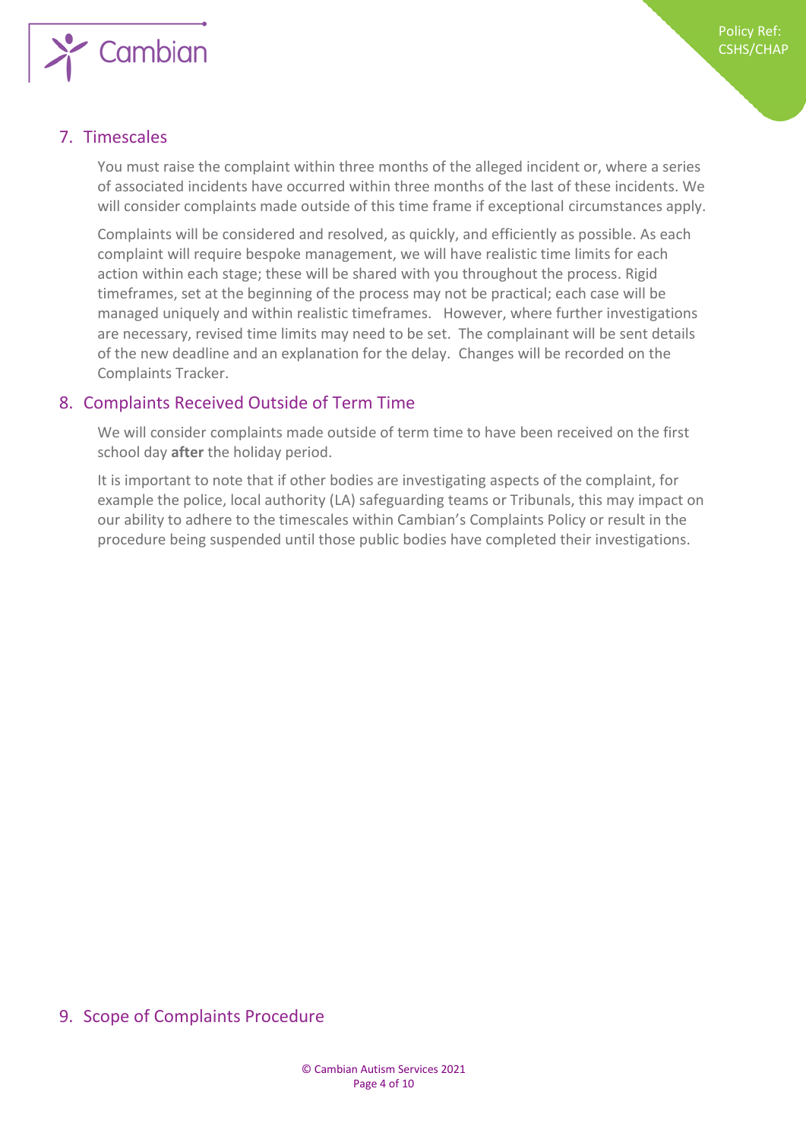

# <span id="page-3-0"></span>7. Timescales

You must raise the complaint within three months of the alleged incident or, where a series of associated incidents have occurred within three months of the last of these incidents. We will consider complaints made outside of this time frame if exceptional circumstances apply.

Complaints will be considered and resolved, as quickly, and efficiently as possible. As each complaint will require bespoke management, we will have realistic time limits for each action within each stage; these will be shared with you throughout the process. Rigid timeframes, set at the beginning of the process may not be practical; each case will be managed uniquely and within realistic timeframes. However, where further investigations are necessary, revised time limits may need to be set. The complainant will be sent details of the new deadline and an explanation for the delay. Changes will be recorded on the Complaints Tracker.

### <span id="page-3-1"></span>8. Complaints Received Outside of Term Time

We will consider complaints made outside of term time to have been received on the first school day **after** the holiday period.

It is important to note that if other bodies are investigating aspects of the complaint, for example the police, local authority (LA) safeguarding teams or Tribunals, this may impact on our ability to adhere to the timescales within Cambian's Complaints Policy or result in the procedure being suspended until those public bodies have completed their investigations.

### <span id="page-3-2"></span>9. Scope of Complaints Procedure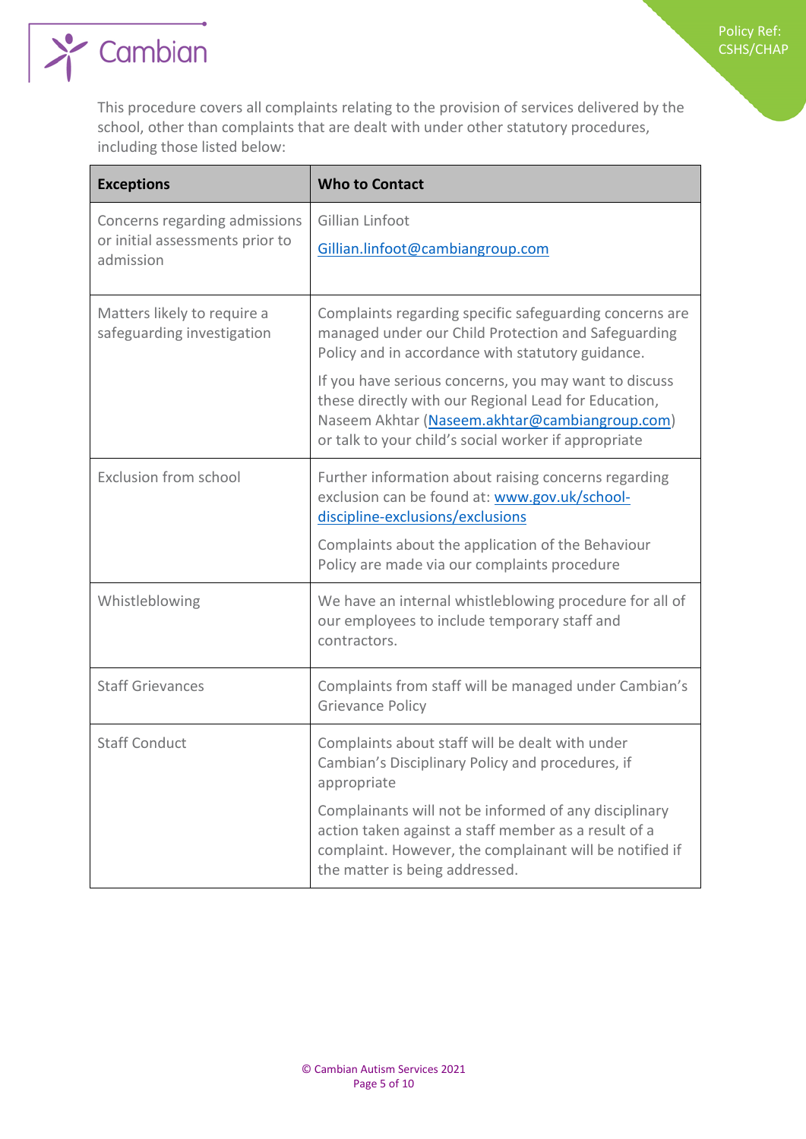

This procedure covers all complaints relating to the provision of services delivered by the school, other than complaints that are dealt with under other statutory procedures, including those listed below:

Policy Ref: CSHS/CHAP

| <b>Exceptions</b>                                                             | <b>Who to Contact</b>                                                                                                                                                                                                   |
|-------------------------------------------------------------------------------|-------------------------------------------------------------------------------------------------------------------------------------------------------------------------------------------------------------------------|
| Concerns regarding admissions<br>or initial assessments prior to<br>admission | Gillian Linfoot<br>Gillian.linfoot@cambiangroup.com                                                                                                                                                                     |
| Matters likely to require a<br>safeguarding investigation                     | Complaints regarding specific safeguarding concerns are<br>managed under our Child Protection and Safeguarding<br>Policy and in accordance with statutory guidance.                                                     |
|                                                                               | If you have serious concerns, you may want to discuss<br>these directly with our Regional Lead for Education,<br>Naseem Akhtar (Naseem.akhtar@cambiangroup.com)<br>or talk to your child's social worker if appropriate |
| <b>Exclusion from school</b>                                                  | Further information about raising concerns regarding<br>exclusion can be found at: www.gov.uk/school-<br>discipline-exclusions/exclusions                                                                               |
|                                                                               | Complaints about the application of the Behaviour<br>Policy are made via our complaints procedure                                                                                                                       |
| Whistleblowing                                                                | We have an internal whistleblowing procedure for all of<br>our employees to include temporary staff and<br>contractors.                                                                                                 |
| <b>Staff Grievances</b>                                                       | Complaints from staff will be managed under Cambian's<br><b>Grievance Policy</b>                                                                                                                                        |
| <b>Staff Conduct</b>                                                          | Complaints about staff will be dealt with under<br>Cambian's Disciplinary Policy and procedures, if<br>appropriate                                                                                                      |
|                                                                               | Complainants will not be informed of any disciplinary<br>action taken against a staff member as a result of a<br>complaint. However, the complainant will be notified if<br>the matter is being addressed.              |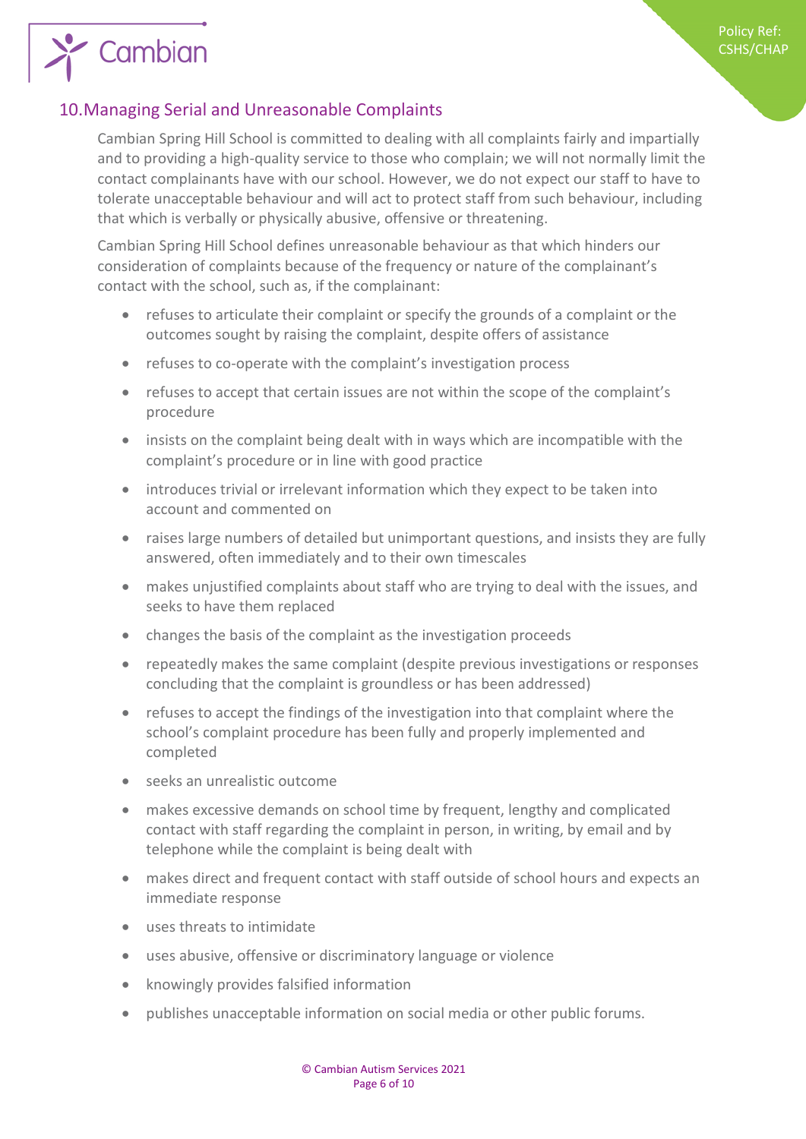# <span id="page-5-0"></span>10.Managing Serial and Unreasonable Complaints

 $\sum$  Cambian

Cambian Spring Hill School is committed to dealing with all complaints fairly and impartially and to providing a high-quality service to those who complain; we will not normally limit the contact complainants have with our school. However, we do not expect our staff to have to tolerate unacceptable behaviour and will act to protect staff from such behaviour, including that which is verbally or physically abusive, offensive or threatening.

Cambian Spring Hill School defines unreasonable behaviour as that which hinders our consideration of complaints because of the frequency or nature of the complainant's contact with the school, such as, if the complainant:

- refuses to articulate their complaint or specify the grounds of a complaint or the outcomes sought by raising the complaint, despite offers of assistance
- refuses to co-operate with the complaint's investigation process
- refuses to accept that certain issues are not within the scope of the complaint's procedure
- insists on the complaint being dealt with in ways which are incompatible with the complaint's procedure or in line with good practice
- introduces trivial or irrelevant information which they expect to be taken into account and commented on
- raises large numbers of detailed but unimportant questions, and insists they are fully answered, often immediately and to their own timescales
- makes unjustified complaints about staff who are trying to deal with the issues, and seeks to have them replaced
- changes the basis of the complaint as the investigation proceeds
- repeatedly makes the same complaint (despite previous investigations or responses concluding that the complaint is groundless or has been addressed)
- refuses to accept the findings of the investigation into that complaint where the school's complaint procedure has been fully and properly implemented and completed
- seeks an unrealistic outcome
- makes excessive demands on school time by frequent, lengthy and complicated contact with staff regarding the complaint in person, in writing, by email and by telephone while the complaint is being dealt with
- makes direct and frequent contact with staff outside of school hours and expects an immediate response
- uses threats to intimidate
- uses abusive, offensive or discriminatory language or violence
- knowingly provides falsified information
- publishes unacceptable information on social media or other public forums.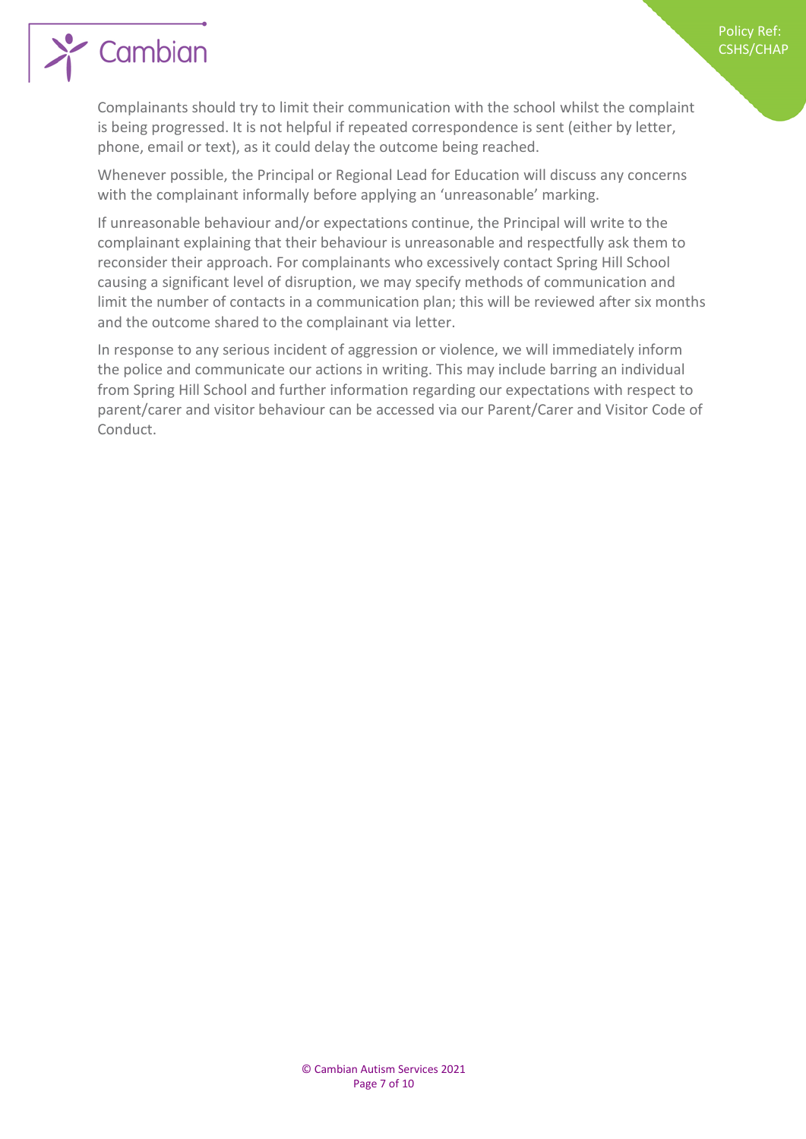

# Cambian

Complainants should try to limit their communication with the school whilst the complaint is being progressed. It is not helpful if repeated correspondence is sent (either by letter, phone, email or text), as it could delay the outcome being reached.

Whenever possible, the Principal or Regional Lead for Education will discuss any concerns with the complainant informally before applying an 'unreasonable' marking.

If unreasonable behaviour and/or expectations continue, the Principal will write to the complainant explaining that their behaviour is unreasonable and respectfully ask them to reconsider their approach. For complainants who excessively contact Spring Hill School causing a significant level of disruption, we may specify methods of communication and limit the number of contacts in a communication plan; this will be reviewed after six months and the outcome shared to the complainant via letter.

In response to any serious incident of aggression or violence, we will immediately inform the police and communicate our actions in writing. This may include barring an individual from Spring Hill School and further information regarding our expectations with respect to parent/carer and visitor behaviour can be accessed via our Parent/Carer and Visitor Code of Conduct.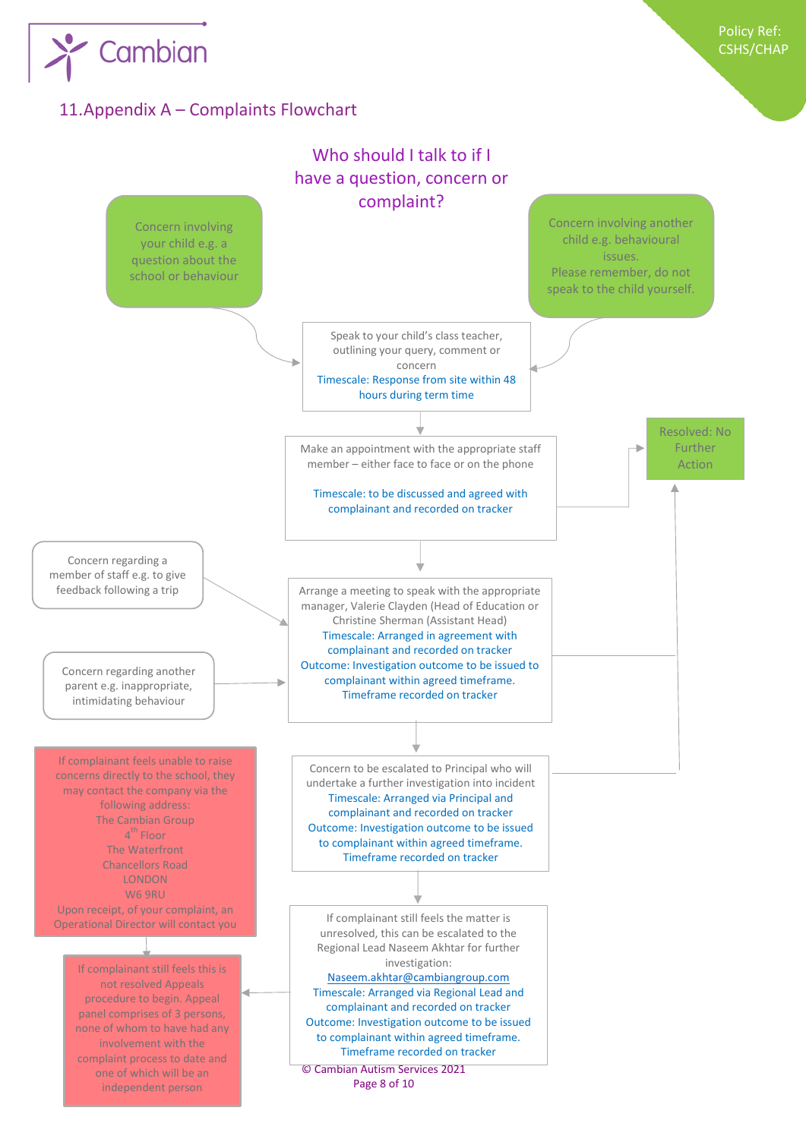

# <span id="page-7-0"></span>11.Appendix A – Complaints Flowchart

 $\sum$  Cambian

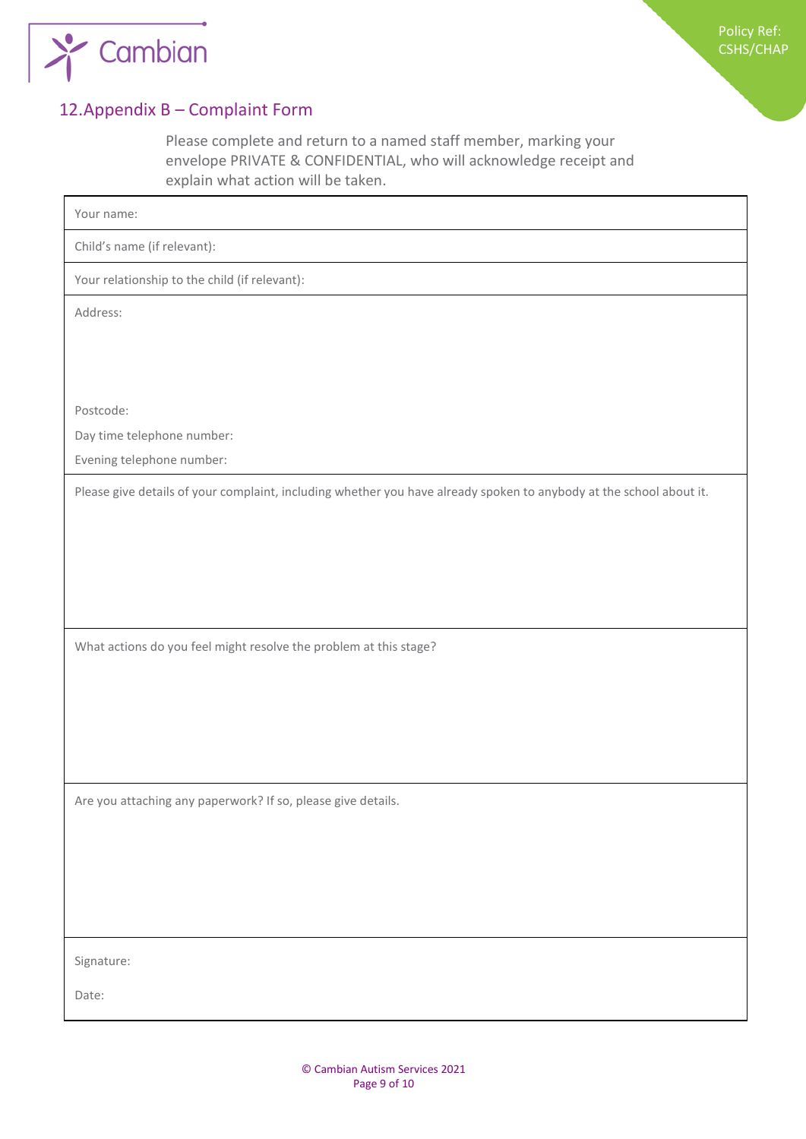

# <span id="page-8-0"></span>12.Appendix B – Complaint Form

Please complete and return to a named staff member, marking your envelope PRIVATE & CONFIDENTIAL, who will acknowledge receipt and explain what action will be taken.

| Your name:                                                                                                          |
|---------------------------------------------------------------------------------------------------------------------|
| Child's name (if relevant):                                                                                         |
| Your relationship to the child (if relevant):                                                                       |
| Address:                                                                                                            |
|                                                                                                                     |
|                                                                                                                     |
| Postcode:                                                                                                           |
| Day time telephone number:                                                                                          |
| Evening telephone number:                                                                                           |
| Please give details of your complaint, including whether you have already spoken to anybody at the school about it. |
|                                                                                                                     |
|                                                                                                                     |
|                                                                                                                     |
|                                                                                                                     |
| What actions do you feel might resolve the problem at this stage?                                                   |
|                                                                                                                     |
|                                                                                                                     |
|                                                                                                                     |
|                                                                                                                     |
|                                                                                                                     |
| Are you attaching any paperwork? If so, please give details.                                                        |
|                                                                                                                     |
|                                                                                                                     |
|                                                                                                                     |
|                                                                                                                     |
| Signature:                                                                                                          |
| Date:                                                                                                               |
|                                                                                                                     |